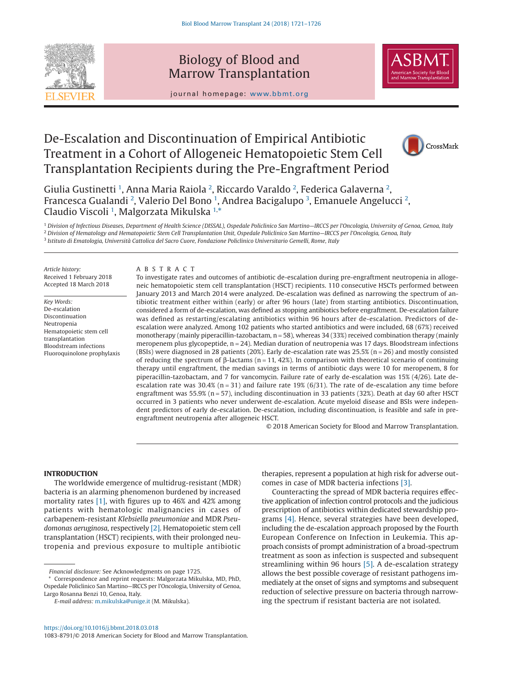

## Biology of Blood and Marrow Transplantation



journal homepage: www.bbmt.org

# De-Escalation and Discontinuation of Empirical Antibiotic Treatment in a Cohort of Allogeneic Hematopoietic Stem Cell Transplantation Recipients during the Pre-Engraftment Period



Giulia Gustinetti <sup>[1](#page-0-0)</sup>, Anna Maria Raiola <sup>[2](#page-0-1)</sup>, Riccardo Varaldo <sup>2</sup>, Federica Galaverna <sup>2</sup>, Francesca Gualandi <sup>[2](#page-0-1)</sup>, Valerio Del Bono <sup>[1](#page-0-0)</sup>, Andrea Bacigalupo <sup>[3](#page-0-2)</sup>, Emanuele Angelucci <sup>2</sup>, Claudio Viscoli <sup>[1](#page-0-0)</sup>, Malgorzata Mikulska <sup>[1,](#page-0-0)[\\*](#page-0-3)</sup>

<span id="page-0-2"></span><span id="page-0-1"></span><span id="page-0-0"></span><sup>1</sup> *Division of Infectious Diseases, Department of Health Science (DISSAL), Ospedale Policlinico San Martino—IRCCS per l'Oncologia, University of Genoa, Genoa, Italy* <sup>2</sup> *Division of Hematology and Hematopoietic Stem Cell Transplantation Unit, Ospedale Policlinico San Martino—IRCCS per l'Oncologia, Genoa, Italy* <sup>3</sup> *Istituto di Ematologia, Università Cattolica del Sacro Cuore, Fondazione Policlinico Universitario Gemelli, Rome, Italy*

*Article history:* Received 1 February 2018 Accepted 18 March 2018

*Key Words:* De-escalation Discontinuation Neutropenia Hematopoietic stem cell transplantation Bloodstream infections Fluoroquinolone prophylaxis

#### ABSTRACT

To investigate rates and outcomes of antibiotic de-escalation during pre-engraftment neutropenia in allogeneic hematopoietic stem cell transplantation (HSCT) recipients. 110 consecutive HSCTs performed between January 2013 and March 2014 were analyzed. De-escalation was defined as narrowing the spectrum of antibiotic treatment either within (early) or after 96 hours (late) from starting antibiotics. Discontinuation, considered a form of de-escalation, was defined as stopping antibiotics before engraftment. De-escalation failure was defined as restarting/escalating antibiotics within 96 hours after de-escalation. Predictors of deescalation were analyzed. Among 102 patients who started antibiotics and were included, 68 (67%) received monotherapy (mainly piperacillin-tazobactam, n = 58), whereas 34 (33%) received combination therapy (mainly meropenem plus glycopeptide,  $n = 24$ ). Median duration of neutropenia was 17 days. Bloodstream infections (BSIs) were diagnosed in 28 patients (20%). Early de-escalation rate was 25.5% (n = 26) and mostly consisted of reducing the spectrum of β-lactams (n = 11, 42%). In comparison with theoretical scenario of continuing therapy until engraftment, the median savings in terms of antibiotic days were 10 for meropenem, 8 for piperacillin-tazobactam, and 7 for vancomycin. Failure rate of early de-escalation was 15% (4/26). Late deescalation rate was  $30.4\%$  (n = 31) and failure rate 19% (6/31). The rate of de-escalation any time before engraftment was 55.9% (n = 57), including discontinuation in 33 patients (32%). Death at day 60 after HSCT occurred in 3 patients who never underwent de-escalation. Acute myeloid disease and BSIs were independent predictors of early de-escalation. De-escalation, including discontinuation, is feasible and safe in preengraftment neutropenia after allogeneic HSCT.

© 2018 American Society for Blood and Marrow Transplantation.

therapies, represent a population at high risk for adverse out-

## **INTRODUCTION**

The worldwide emergence of multidrug-resistant (MDR) bacteria is an alarming phenomenon burdened by increased mortality rates [\[1\],](#page-4-0) with figures up to 46% and 42% among patients with hematologic malignancies in cases of carbapenem-resistant *Klebsiella pneumoniae* and MDR *Pseudomonas aeruginosa*, respectively [\[2\].](#page-4-1) Hematopoietic stem cell transplantation (HSCT) recipients, with their prolonged neutropenia and previous exposure to multiple antibiotic

\* Correspondence and reprint requests: Malgorzata Mikulska, MD, PhD, Ospedale Policlinico San Martino—IRCCS per l'Oncologia, University of Genoa, Largo Rosanna Benzi 10, Genoa, Italy.

Counteracting the spread of MDR bacteria requires effective application of infection control protocols and the judicious prescription of antibiotics within dedicated stewardship pro-

comes in case of MDR bacteria infections [\[3\].](#page-4-2)

grams [\[4\].](#page-5-0) Hence, several strategies have been developed, including the de-escalation approach proposed by the Fourth European Conference on Infection in Leukemia. This approach consists of prompt administration of a broad-spectrum treatment as soon as infection is suspected and subsequent streamlining within 96 hours [\[5\].](#page-5-1) A de-escalation strategy allows the best possible coverage of resistant pathogens immediately at the onset of signs and symptoms and subsequent reduction of selective pressure on bacteria through narrowing the spectrum if resistant bacteria are not isolated.

<span id="page-0-3"></span>*Financial disclosure:* See Acknowledgments on page 1725.

*E-mail address:* [m.mikulska@unige.it](mailto:m.mikulska@unige.it) (M. Mikulska).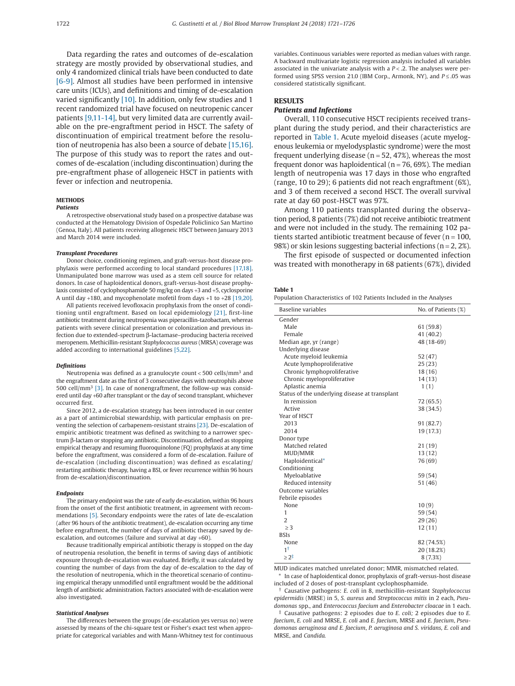Data regarding the rates and outcomes of de-escalation strategy are mostly provided by observational studies, and only 4 randomized clinical trials have been conducted to date [\[6-9\].](#page-5-2) Almost all studies have been performed in intensive care units (ICUs), and definitions and timing of de-escalation varied significantly  $[10]$ . In addition, only few studies and 1 recent randomized trial have focused on neutropenic cancer patients [\[9,11-14\],](#page-5-4) but very limited data are currently available on the pre-engraftment period in HSCT. The safety of discontinuation of empirical treatment before the resolution of neutropenia has also been a source of debate [\[15,16\].](#page-5-5) The purpose of this study was to report the rates and outcomes of de-escalation (including discontinuation) during the pre-engraftment phase of allogeneic HSCT in patients with fever or infection and neutropenia.

#### **METHODS** *Patients*

A retrospective observational study based on a prospective database was conducted at the Hematology Division of Ospedale Policlinico San Martino (Genoa, Italy). All patients receiving allogeneic HSCT between January 2013 and March 2014 were included.

#### *Transplant Procedures*

Donor choice, conditioning regimen, and graft-versus-host disease prophylaxis were performed according to local standard procedures [\[17,18\].](#page-5-6) Unmanipulated bone marrow was used as a stem cell source for related donors. In case of haploidentical donors, graft-versus-host disease prophylaxis consisted of cyclophosphamide 50 mg/kg on days +3 and +5, cyclosporine A until day  $+180$ , and mycophenolate mofetil from days  $+1$  to  $+28$  [\[19,20\].](#page-5-7)

All patients received levofloxacin prophylaxis from the onset of conditioning until engraftment. Based on local epidemiology [\[21\],](#page-5-8) first-line antibiotic treatment during neutropenia was piperacillin-tazobactam, whereas patients with severe clinical presentation or colonization and previous infection due to extended-spectrum β-lactamase–producing bacteria received meropenem. Methicillin-resistant *Staphylococcus aureus* (MRSA) coverage was added according to international guidelines [\[5,22\].](#page-5-1)

#### *Definitions*

Neutropenia was defined as a granulocyte count  $<$  500 cells/mm<sup>3</sup> and the engraftment date as the first of 3 consecutive days with neutrophils above 500 cell/mm<sup>3</sup> [\[3\].](#page-4-2) In case of nonengraftment, the follow-up was considered until day +60 after transplant or the day of second transplant, whichever occurred first.

Since 2012, a de-escalation strategy has been introduced in our center as a part of antimicrobial stewardship, with particular emphasis on preventing the selection of carbapenem-resistant strains [\[23\].](#page-5-9) De-escalation of empiric antibiotic treatment was defined as switching to a narrower spectrum β-lactam or stopping any antibiotic. Discontinuation, defined as stopping empirical therapy and resuming fluoroquinolone (FQ) prophylaxis at any time before the engraftment, was considered a form of de-escalation. Failure of de-escalation (including discontinuation) was defined as escalating/ restarting antibiotic therapy, having a BSI, or fever recurrence within 96 hours from de-escalation/discontinuation.

#### *Endpoints*

The primary endpoint was the rate of early de-escalation, within 96 hours from the onset of the first antibiotic treatment, in agreement with recommendations [\[5\].](#page-5-1) Secondary endpoints were the rates of late de-escalation (after 96 hours of the antibiotic treatment), de-escalation occurring any time before engraftment, the number of days of antibiotic therapy saved by deescalation, and outcomes (failure and survival at day +60).

Because traditionally empirical antibiotic therapy is stopped on the day of neutropenia resolution, the benefit in terms of saving days of antibiotic exposure through de-escalation was evaluated. Briefly, it was calculated by counting the number of days from the day of de-escalation to the day of the resolution of neutropenia, which in the theoretical scenario of continuing empirical therapy unmodified until engraftment would be the additional length of antibiotic administration. Factors associated with de-escalation were also investigated.

## *Statistical Analyses*

The differences between the groups (de-escalation yes versus no) were assessed by means of the chi-square test or Fisher's exact test when appropriate for categorical variables and with Mann-Whitney test for continuous variables. Continuous variables were reported as median values with range. A backward multivariate logistic regression analysis included all variables associated in the univariate analysis with a  $P < 0.2$ . The analyses were performed using SPSS version 21.0 (IBM Corp., Armonk, NY), and *P* ≤ .05 was considered statistically significant.

## **RESULTS**

## *Patients and Infections*

Overall, 110 consecutive HSCT recipients received transplant during the study period, and their characteristics are reported in Table 1. Acute myeloid diseases (acute myelogenous leukemia or myelodysplastic syndrome) were the most frequent underlying disease ( $n = 52, 47\%$ ), whereas the most frequent donor was haploidentical ( $n = 76$ , 69%). The median length of neutropenia was 17 days in those who engrafted (range, 10 to 29); 6 patients did not reach engraftment (6%), and 3 of them received a second HSCT. The overall survival rate at day 60 post-HSCT was 97%.

Among 110 patients transplanted during the observation period, 8 patients (7%) did not receive antibiotic treatment and were not included in the study. The remaining 102 patients started antibiotic treatment because of fever  $(n = 100,$ 98%) or skin lesions suggesting bacterial infections ( $n = 2, 2\%$ ).

The first episode of suspected or documented infection was treated with monotherapy in 68 patients (67%), divided

#### **Table 1**

| Population Characteristics of 102 Patients Included in the Analyses |  |
|---------------------------------------------------------------------|--|
|---------------------------------------------------------------------|--|

| Baseline variables                             | No. of Patients (%) |
|------------------------------------------------|---------------------|
| Gender                                         |                     |
| Male                                           | 61(59.8)            |
| Female                                         | 41(40.2)            |
| Median age, yr (range)                         | 48 (18-69)          |
| Underlying disease                             |                     |
| Acute myeloid leukemia                         | 52(47)              |
| Acute lymphoproliferative                      | 25(23)              |
| Chronic lymphoproliferative                    | 18(16)              |
| Chronic myeloproliferative                     | 14(13)              |
| Aplastic anemia                                | 1(1)                |
| Status of the underlying disease at transplant |                     |
| In remission                                   | 72 (65.5)           |
| Active                                         | 38 (34.5)           |
| Year of HSCT                                   |                     |
| 2013                                           | 91(82.7)            |
| 2014                                           | 19 (17.3)           |
| Donor type                                     |                     |
| Matched related                                | 21(19)              |
| MUD/MMR                                        | 13(12)              |
| Haploidentical*                                | 76 (69)             |
| Conditioning                                   |                     |
| Myeloablative                                  | 59 (54)             |
| Reduced intensity                              | 51(46)              |
| Outcome variables                              |                     |
| Febrile episodes                               |                     |
| None                                           | 10(9)               |
| 1                                              | 59 (54)             |
| $\overline{2}$                                 | 29(26)              |
| >3                                             | 12(11)              |
| <b>BSIs</b>                                    |                     |
| None                                           | 82 (74.5%)          |
| 1†                                             | 20 (18.2%)          |
| $> 2^{\ddagger}$                               | 8(7.3%)             |

<span id="page-1-0"></span>MUD indicates matched unrelated donor; MMR, mismatched related.

In case of haploidentical donor, prophylaxis of graft-versus-host disease included of 2 doses of post-transplant cyclophosphamide.

<span id="page-1-1"></span>† Causative pathogens: *E. coli* in 8, methicillin-resistant *Staphylococcus epidermidis* (MRSE) in 5, *S. aureus* and *Streptococcus mitis* in 2 each, *Pseudomonas* spp., and *Enterococcus faecium* and *Enterobacter cloacae* in 1 each.

<span id="page-1-2"></span>‡ Causative pathogens: 2 episodes due to *E. coli;* 2 episodes due to *E. faecium*, *E. coli* and MRSE, *E. coli* and *E. faecium*, MRSE and *E. faecium*, *Pseudomonas aeruginosa and E. faecium*, *P. aeruginosa and S. viridans, E. coli* and MRSE, and *Candida.*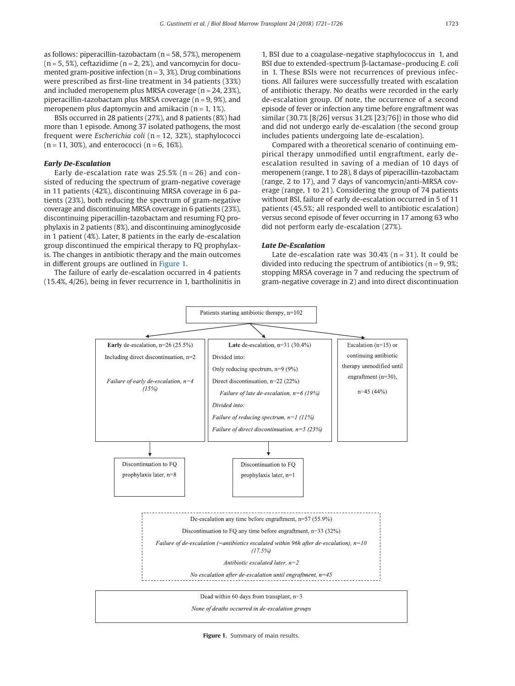as follows: piperacillin-tazobactam ( $n = 58$ , 57%), meropenem  $(n = 5, 5\%)$ , ceftazidime  $(n = 2, 2\%)$ , and vancomycin for documented gram-positive infection ( $n = 3, 3\%$ ). Drug combinations were prescribed as first-line treatment in 34 patients (33%) and included meropenem plus MRSA coverage ( $n = 24, 23\%$ ), piperacillin-tazobactam plus MRSA coverage ( $n = 9, 9\%$ ), and meropenem plus daptomycin and amikacin  $(n = 1, 1\%)$ .

BSIs occurred in 28 patients (27%), and 8 patients (8%) had more than 1 episode. Among 37 isolated pathogens, the most frequent were *Escherichia coli* (n = 12, 32%), staphylococci  $(n = 11, 30\%)$ , and enterococci  $(n = 6, 16\%).$ 

#### *Early De-Escalation*

Early de-escalation rate was  $25.5\%$  (n = 26) and consisted of reducing the spectrum of gram-negative coverage in 11 patients (42%), discontinuing MRSA coverage in 6 patients (23%), both reducing the spectrum of gram-negative coverage and discontinuing MRSA coverage in 6 patients (23%), discontinuing piperacillin-tazobactam and resuming FQ prophylaxis in 2 patients (8%), and discontinuing aminoglycoside in 1 patient (4%). Later, 8 patients in the early de-escalation group discontinued the empirical therapy to FQ prophylaxis. The changes in antibiotic therapy and the main outcomes in different groups are outlined in Figure 1.

The failure of early de-escalation occurred in 4 patients (15.4%, 4/26), being in fever recurrence in 1, bartholinitis in

1, BSI due to a coagulase-negative staphylococcus in 1, and BSI due to extended-spectrum β-lactamase–producing *E. coli* in 1. These BSIs were not recurrences of previous infections. All failures were successfully treated with escalation of antibiotic therapy. No deaths were recorded in the early de-escalation group. Of note, the occurrence of a second episode of fever or infection any time before engraftment was similar (30.7% [8/26] versus 31.2% [23/76]) in those who did and did not undergo early de-escalation (the second group includes patients undergoing late de-escalation).

Compared with a theoretical scenario of continuing empirical therapy unmodified until engraftment, early deescalation resulted in saving of a median of 10 days of meropenem (range, 1 to 28), 8 days of piperacillin-tazobactam (range, 2 to 17), and 7 days of vancomycin/anti-MRSA coverage (range, 1 to 21). Considering the group of 74 patients without BSI, failure of early de-escalation occurred in 5 of 11 patients (45.5%; all responded well to antibiotic escalation) versus second episode of fever occurring in 17 among 63 who did not perform early de-escalation (27%).

## *Late De-Escalation*

Late de-escalation rate was  $30.4\%$  (n = 31). It could be divided into reducing the spectrum of antibiotics ( $n = 9, 9\%$ ; stopping MRSA coverage in 7 and reducing the spectrum of gram-negative coverage in 2) and into direct discontinuation



**Figure 1.** Summary of main results.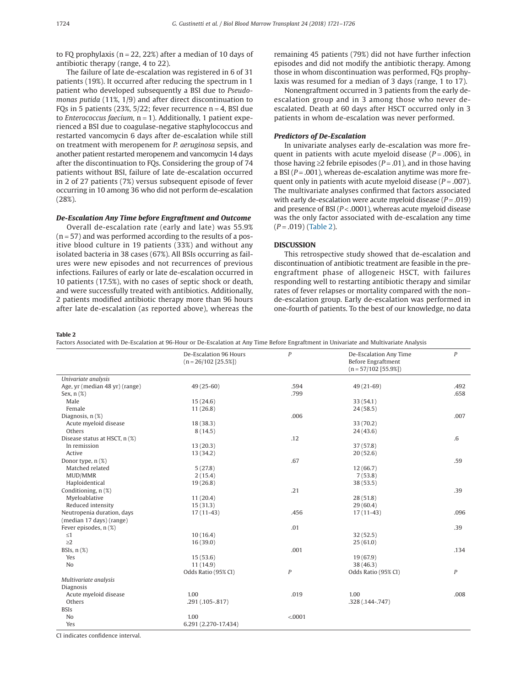to FO prophylaxis ( $n = 22, 22\%$ ) after a median of 10 days of antibiotic therapy (range, 4 to 22).

The failure of late de-escalation was registered in 6 of 31 patients (19%). It occurred after reducing the spectrum in 1 patient who developed subsequently a BSI due to *Pseudomonas putida* (11%, 1/9) and after direct discontinuation to FQs in 5 patients (23%,  $5/22$ ; fever recurrence n = 4, BSI due to *Enterococcus faecium*, n = 1). Additionally, 1 patient experienced a BSI due to coagulase-negative staphylococcus and restarted vancomycin 6 days after de-escalation while still on treatment with meropenem for *P. aeruginosa* sepsis, and another patient restarted meropenem and vancomycin 14 days after the discontinuation to FQs. Considering the group of 74 patients without BSI, failure of late de-escalation occurred in 2 of 27 patients (7%) versus subsequent episode of fever occurring in 10 among 36 who did not perform de-escalation (28%).

## *De-Escalation Any Time before Engraftment and Outcome*

Overall de-escalation rate (early and late) was 55.9%  $(n = 57)$  and was performed according to the results of a positive blood culture in 19 patients (33%) and without any isolated bacteria in 38 cases (67%). All BSIs occurring as failures were new episodes and not recurrences of previous infections. Failures of early or late de-escalation occurred in 10 patients (17.5%), with no cases of septic shock or death, and were successfully treated with antibiotics. Additionally, 2 patients modified antibiotic therapy more than 96 hours after late de-escalation (as reported above), whereas the

remaining 45 patients (79%) did not have further infection episodes and did not modify the antibiotic therapy. Among those in whom discontinuation was performed, FQs prophylaxis was resumed for a median of 3 days (range, 1 to 17).

Nonengraftment occurred in 3 patients from the early deescalation group and in 3 among those who never deescalated. Death at 60 days after HSCT occurred only in 3 patients in whom de-escalation was never performed.

## *Predictors of De-Escalation*

In univariate analyses early de-escalation was more frequent in patients with acute myeloid disease  $(P=.006)$ , in those having ≥2 febrile episodes (*P* = .01), and in those having a BSI (*P* = .001), whereas de-escalation anytime was more frequent only in patients with acute myeloid disease  $(P = .007)$ . The multivariate analyses confirmed that factors associated with early de-escalation were acute myeloid disease (*P* = .019) and presence of BSI ( $P < .0001$ ), whereas acute myeloid disease was the only factor associated with de-escalation any time (*P* = .019) (Table 2).

## **DISCUSSION**

This retrospective study showed that de-escalation and discontinuation of antibiotic treatment are feasible in the preengraftment phase of allogeneic HSCT, with failures responding well to restarting antibiotic therapy and similar rates of fever relapses or mortality compared with the non– de-escalation group. Early de-escalation was performed in one-fourth of patients. To the best of our knowledge, no data

## **Table 2**

Factors Associated with De-Escalation at 96-Hour or De-Escalation at Any Time Before Engraftment in Univariate and Multivariate Analysis

|                                  | De-Escalation 96 Hours<br>$(n = 26/102 [25.5\%])$ | $\overline{P}$   | De-Escalation Any Time<br><b>Before Engraftment</b><br>$(n = 57/102 [55.9%])$ | $\boldsymbol{P}$ |
|----------------------------------|---------------------------------------------------|------------------|-------------------------------------------------------------------------------|------------------|
| Univariate analysis              |                                                   |                  |                                                                               |                  |
| Age, yr (median 48 yr) (range)   | $49(25-60)$                                       | .594             | $49(21-69)$                                                                   | .492             |
| Sex, $n$ $(\%)$                  |                                                   | .799             |                                                                               | .658             |
| Male                             | 15(24.6)                                          |                  | 33 (54.1)                                                                     |                  |
| Female                           | 11(26.8)                                          |                  | 24(58.5)                                                                      |                  |
| Diagnosis, n (%)                 |                                                   | .006             |                                                                               | .007             |
| Acute myeloid disease            | 18(38.3)                                          |                  | 33(70.2)                                                                      |                  |
| Others                           | 8(14.5)                                           |                  | 24(43.6)                                                                      |                  |
| Disease status at HSCT, n (%)    |                                                   | .12              |                                                                               | $.6\,$           |
| In remission                     | 13(20.3)                                          |                  | 37(57.8)                                                                      |                  |
| Active                           | 13(34.2)                                          |                  | 20(52.6)                                                                      |                  |
| Donor type, n (%)                |                                                   | .67              |                                                                               | .59              |
| Matched related                  | 5(27.8)                                           |                  | 12(66.7)                                                                      |                  |
| MUD/MMR                          | 2(15.4)                                           |                  | 7(53.8)                                                                       |                  |
| Haploidentical                   | 19(26.8)                                          |                  | 38(53.5)                                                                      |                  |
| Conditioning, n (%)              |                                                   | .21              |                                                                               | .39              |
| Myeloablative                    | 11(20.4)                                          |                  | 28(51.8)                                                                      |                  |
| Reduced intensity                | 15(31.3)                                          |                  | 29(60.4)                                                                      |                  |
| Neutropenia duration, days       | $17(11-43)$                                       | .456             | $17(11-43)$                                                                   | .096             |
| (median 17 days) (range)         |                                                   |                  |                                                                               |                  |
| Fever episodes, n (%)            |                                                   | .01              |                                                                               | .39              |
| ${\leq}1$                        | 10(16.4)                                          |                  | 32(52.5)                                                                      |                  |
| $\geq$ 2                         | 16(39.0)                                          |                  | 25(61.0)                                                                      |                  |
| BSIs, $n$ $(\%)$                 |                                                   | .001             |                                                                               | .134             |
| Yes                              | 15(53.6)                                          |                  | 19(67.9)                                                                      |                  |
| No                               | 11(14.9)                                          |                  | 38 (46.3)                                                                     |                  |
|                                  | Odds Ratio (95% CI)                               | $\boldsymbol{P}$ | Odds Ratio (95% CI)                                                           | $\boldsymbol{P}$ |
| Multivariate analysis            |                                                   |                  |                                                                               |                  |
| Diagnosis                        |                                                   |                  |                                                                               |                  |
| Acute myeloid disease            | 1.00                                              | .019             | 1.00                                                                          | .008             |
| Others                           | .291 (.105-.817)                                  |                  | .328 (.144-.747)                                                              |                  |
| <b>BSIs</b>                      |                                                   |                  |                                                                               |                  |
| No                               | 1.00                                              | < .0001          |                                                                               |                  |
| Yes                              | 6.291 (2.270-17.434)                              |                  |                                                                               |                  |
| $\cdot$ $\cdot$<br>$\sim$ $\sim$ |                                                   |                  |                                                                               |                  |

CI indicates confidence interval.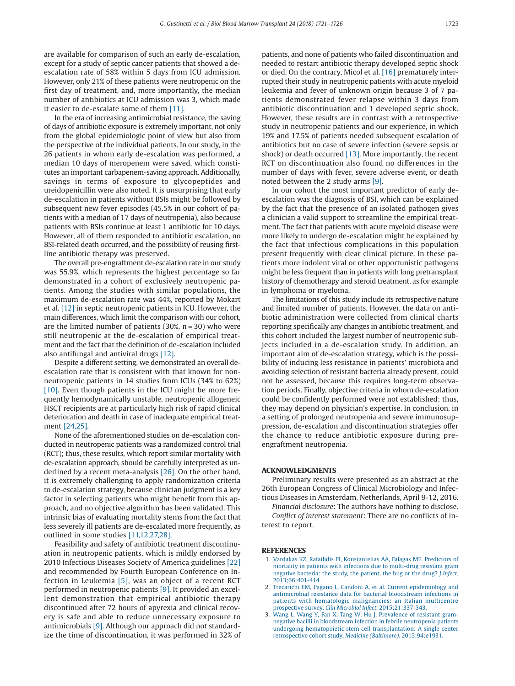are available for comparison of such an early de-escalation, except for a study of septic cancer patients that showed a deescalation rate of 58% within 5 days from ICU admission. However, only 21% of these patients were neutropenic on the first day of treatment, and, more importantly, the median number of antibiotics at ICU admission was 3, which made it easier to de-escalate some of them [\[11\].](#page-5-10)

In the era of increasing antimicrobial resistance, the saving of days of antibiotic exposure is extremely important, not only from the global epidemiologic point of view but also from the perspective of the individual patients. In our study, in the 26 patients in whom early de-escalation was performed, a median 10 days of meropenem were saved, which constitutes an important carbapenem-saving approach. Additionally, savings in terms of exposure to glycopeptides and ureidopenicillin were also noted. It is unsurprising that early de-escalation in patients without BSIs might be followed by subsequent new fever episodes (45.5% in our cohort of patients with a median of 17 days of neutropenia), also because patients with BSIs continue at least 1 antibiotic for 10 days. However, all of them responded to antibiotic escalation, no BSI-related death occurred, and the possibility of reusing firstline antibiotic therapy was preserved.

The overall pre-engraftment de-escalation rate in our study was 55.9%, which represents the highest percentage so far demonstrated in a cohort of exclusively neutropenic patients. Among the studies with similar populations, the maximum de-escalation rate was 44%, reported by Mokart et al. [\[12\]](#page-5-11) in septic neutropenic patients in ICU. However, the main differences, which limit the comparison with our cohort, are the limited number of patients  $(30\%, n = 30)$  who were still neutropenic at the de-escalation of empirical treatment and the fact that the definition of de-escalation included also antifungal and antiviral drugs [\[12\].](#page-5-11)

Despite a different setting, we demonstrated an overall deescalation rate that is consistent with that known for nonneutropenic patients in 14 studies from ICUs (34% to 62%) [\[10\].](#page-5-3) Even though patients in the ICU might be more frequently hemodynamically unstable, neutropenic allogeneic HSCT recipients are at particularly high risk of rapid clinical deterioration and death in case of inadequate empirical treatment [\[24,25\].](#page-5-12)

None of the aforementioned studies on de-escalation conducted in neutropenic patients was a randomized control trial (RCT); thus, these results, which report similar mortality with de-escalation approach, should be carefully interpreted as underlined by a recent meta-analysis [\[26\].](#page-5-13) On the other hand, it is extremely challenging to apply randomization criteria to de-escalation strategy, because clinician judgment is a key factor in selecting patients who might benefit from this approach, and no objective algorithm has been validated. This intrinsic bias of evaluating mortality stems from the fact that less severely ill patients are de-escalated more frequently, as outlined in some studies [\[11,12,27,28\].](#page-5-10)

Feasibility and safety of antibiotic treatment discontinuation in neutropenic patients, which is mildly endorsed by 2010 Infectious Diseases Society of America guidelines [\[22\]](#page-5-14) and recommended by Fourth European Conference on Infection in Leukemia [\[5\],](#page-5-1) was an object of a recent RCT performed in neutropenic patients [\[9\].](#page-5-4) It provided an excellent demonstration that empirical antibiotic therapy discontinued after 72 hours of apyrexia and clinical recovery is safe and able to reduce unnecessary exposure to antimicrobials [\[9\].](#page-5-4) Although our approach did not standardize the time of discontinuation, it was performed in 32% of

patients, and none of patients who failed discontinuation and needed to restart antibiotic therapy developed septic shock or died. On the contrary, Micol et al. [\[16\]](#page-5-15) prematurely interrupted their study in neutropenic patients with acute myeloid leukemia and fever of unknown origin because 3 of 7 patients demonstrated fever relapse within 3 days from antibiotic discontinuation and 1 developed septic shock. However, these results are in contrast with a retrospective study in neutropenic patients and our experience, in which 19% and 17.5% of patients needed subsequent escalation of antibiotics but no case of severe infection (severe sepsis or shock) or death occurred [\[13\].](#page-5-16) More importantly, the recent RCT on discontinuation also found no differences in the number of days with fever, severe adverse event, or death noted between the 2 study arms [\[9\].](#page-5-4)

In our cohort the most important predictor of early deescalation was the diagnosis of BSI, which can be explained by the fact that the presence of an isolated pathogen gives a clinician a valid support to streamline the empirical treatment. The fact that patients with acute myeloid disease were more likely to undergo de-escalation might be explained by the fact that infectious complications in this population present frequently with clear clinical picture. In these patients more indolent viral or other opportunistic pathogens might be less frequent than in patients with long pretransplant history of chemotherapy and steroid treatment, as for example in lymphoma or myeloma.

The limitations of this study include its retrospective nature and limited number of patients. However, the data on antibiotic administration were collected from clinical charts reporting specifically any changes in antibiotic treatment, and this cohort included the largest number of neutropenic subjects included in a de-escalation study. In addition, an important aim of de-escalation strategy, which is the possibility of inducing less resistance in patients' microbiota and avoiding selection of resistant bacteria already present, could not be assessed, because this requires long-term observation periods. Finally, objective criteria in whom de-escalation could be confidently performed were not established; thus, they may depend on physician's expertise. In conclusion, in a setting of prolonged neutropenia and severe immunosuppression, de-escalation and discontinuation strategies offer the chance to reduce antibiotic exposure during preengraftment neutropenia.

#### **ACKNOWLEDGMENTS**

Preliminary results were presented as an abstract at the 26th European Congress of Clinical Microbiology and Infectious Diseases in Amsterdam, Netherlands, April 9-12, 2016.

*Financial disclosure*: The authors have nothing to disclose. *Conflict of interest statement*: There are no conflicts of interest to report.

#### <span id="page-4-0"></span>**REFERENCES**

- 1. [Vardakas KZ, Rafailidis PI, Konstantelias AA, Falagas ME. Predictors of](http://refhub.elsevier.com/S1083-8791(18)30131-9/sr0010) [mortality in patients with infections due to multi-drug resistant gram](http://refhub.elsevier.com/S1083-8791(18)30131-9/sr0010) [negative bacteria: the study, the patient, the bug or the drug?](http://refhub.elsevier.com/S1083-8791(18)30131-9/sr0010) *J Infect*. [2013;66:401-414.](http://refhub.elsevier.com/S1083-8791(18)30131-9/sr0010)
- <span id="page-4-1"></span>2. [Trecarichi EM, Pagano L, Candoni A, et al. Current epidemiology and](http://refhub.elsevier.com/S1083-8791(18)30131-9/sr0015) [antimicrobial resistance data for bacterial bloodstream infections in](http://refhub.elsevier.com/S1083-8791(18)30131-9/sr0015) [patients with hematologic malignancies: an Italian multicentre](http://refhub.elsevier.com/S1083-8791(18)30131-9/sr0015) [prospective survey.](http://refhub.elsevier.com/S1083-8791(18)30131-9/sr0015) *Clin Microbiol Infect*. 2015;21:337-343.
- <span id="page-4-2"></span>3. [Wang L, Wang Y, Fan X, Tang W, Hu J. Prevalence of resistant gram](http://refhub.elsevier.com/S1083-8791(18)30131-9/sr0020)[negative bacilli in bloodstream infection in febrile neutropenia patients](http://refhub.elsevier.com/S1083-8791(18)30131-9/sr0020) [undergoing hematopoietic stem cell transplantation: A single center](http://refhub.elsevier.com/S1083-8791(18)30131-9/sr0020) [retrospective cohort study.](http://refhub.elsevier.com/S1083-8791(18)30131-9/sr0020) *Medicine (Baltimore)*. 2015;94:e1931.